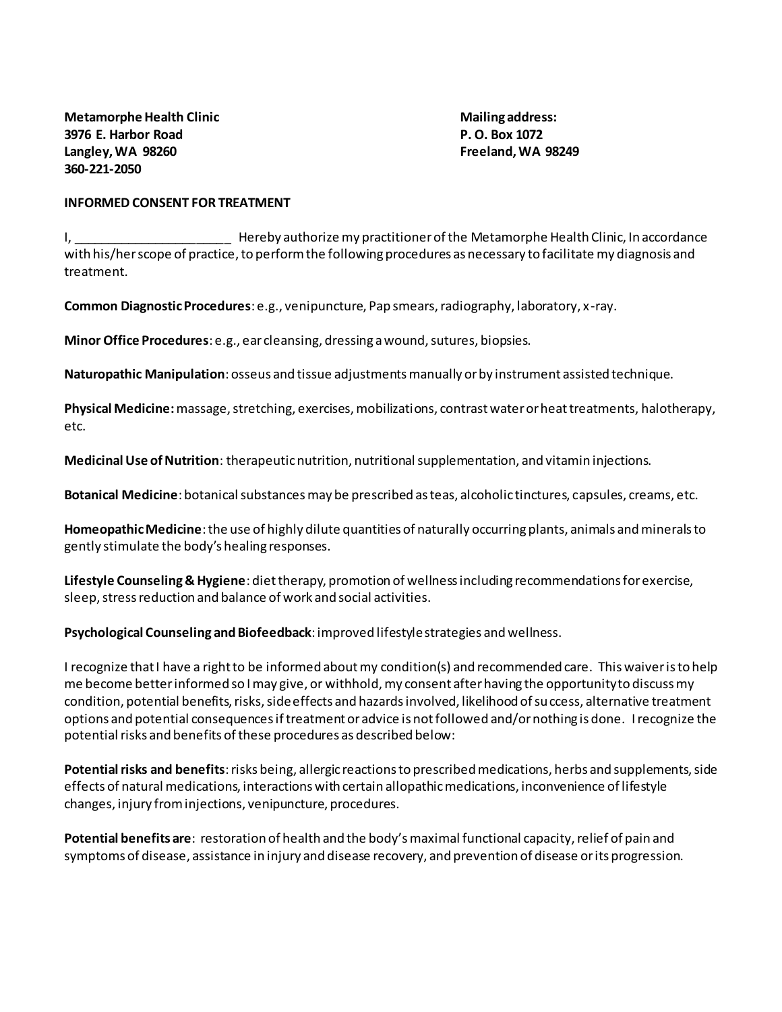## **INFORMED CONSENT FOR TREATMENT**

I, \_\_\_\_\_\_\_\_\_\_\_\_\_\_\_\_\_\_\_\_\_\_\_ Hereby authorize my practitioner of the Metamorphe Health Clinic, In accordance with his/her scope of practice, to perform the following procedures as necessary to facilitate my diagnosis and treatment.

**Common Diagnostic Procedures**: e.g., venipuncture, Pap smears, radiography, laboratory, x-ray.

**Minor Office Procedures**: e.g., ear cleansing, dressing a wound, sutures, biopsies.

**Naturopathic Manipulation**: osseus and tissue adjustments manually or by instrument assisted technique.

**Physical Medicine:**massage, stretching, exercises, mobilizations, contrast water or heat treatments, halotherapy, etc.

**Medicinal Use of Nutrition**: therapeutic nutrition, nutritional supplementation, and vitamin injections.

**Botanical Medicine**: botanical substances may be prescribed as teas, alcoholic tinctures, capsules, creams, etc.

**Homeopathic Medicine**: the use of highly dilute quantities of naturally occurring plants, animals and minerals to gently stimulate the body's healing responses.

**Lifestyle Counseling & Hygiene**: diet therapy, promotion of wellness including recommendations for exercise, sleep, stress reduction and balance of work and social activities.

**Psychological Counseling and Biofeedback**: improved lifestyle strategies and wellness.

I recognize that I have a right to be informed about my condition(s) and recommended care. This waiver is to help me become better informed so I may give, or withhold, my consent after having the opportunity to discuss my condition, potential benefits, risks, side effects and hazards involved, likelihood of success, alternative treatment options and potential consequences if treatment or advice is not followed and/or nothing is done. I recognize the potential risks and benefits of these procedures as described below:

**Potential risks and benefits**: risks being, allergic reactions to prescribed medications, herbs and supplements, side effects of natural medications, interactions with certain allopathic medications, inconvenience of lifestyle changes, injury from injections, venipuncture, procedures.

**Potential benefits are**: restoration of health and the body's maximal functional capacity, relief of pain and symptoms of disease, assistance in injury and disease recovery, and prevention of disease or its progression.